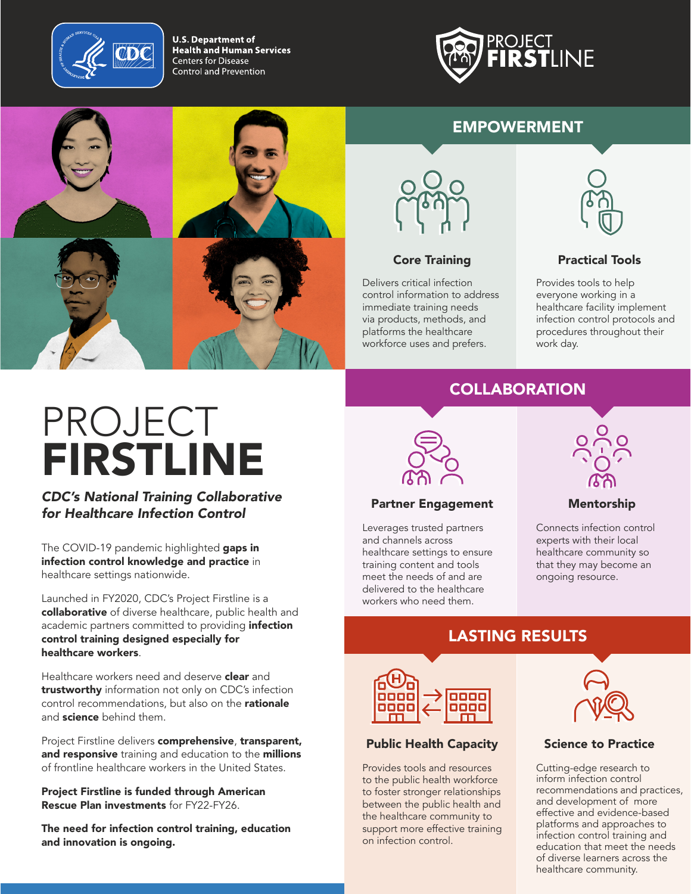

**U.S. Department of Health and Human Services Centers for Disease** Control and Prevention



#### EMPOWERMENT





Delivers critical infection control information to address immediate training needs via products, methods, and platforms the healthcare workforce uses and prefers.



#### **Core Training Core Training Reserve Training Practical Tools**

Provides tools to help everyone working in a healthcare facility implement infection control protocols and procedures throughout their work day.

# PROJECT FIRSTLINE

*CDC's National Training Collaborative for Healthcare Infection Control*

The COVID-19 pandemic highlighted gaps in infection control knowledge and practice in healthcare settings nationwide.

Launched in FY2020, CDC's Project Firstline is a collaborative of diverse healthcare, public health and academic partners committed to providing *infection* control training designed especially for healthcare workers.

Healthcare workers need and deserve **clear** and trustworthy information not only on CDC's infection control recommendations, but also on the rationale and **science** behind them.

Project Firstline delivers comprehensive, transparent, and responsive training and education to the millions of frontline healthcare workers in the United States.

Project Firstline is funded through American Rescue Plan investments for FY22-FY26.

The need for infection control training, education and innovation is ongoing.

## **COLLABORATION**



#### Partner Engagement Mentorship

Leverages trusted partners and channels across healthcare settings to ensure training content and tools meet the needs of and are delivered to the healthcare workers who need them.



Connects infection control experts with their local healthcare community so that they may become an ongoing resource.

### LASTING RESULTS



#### Public Health Capacity Science to Practice

Provides tools and resources to the public health workforce to foster stronger relationships between the public health and the healthcare community to support more effective training on infection control.



Cutting-edge research to inform infection control recommendations and practices, and development of more effective and evidence-based platforms and approaches to infection control training and education that meet the needs of diverse learners across the healthcare community.